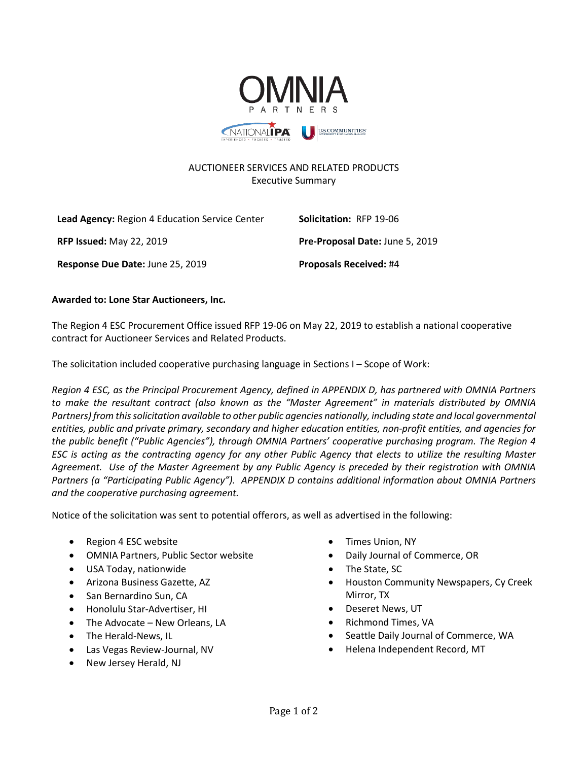

## AUCTIONEER SERVICES AND RELATED PRODUCTS Executive Summary

| Lead Agency: Region 4 Education Service Center | Solicitation: RFP 19-06         |
|------------------------------------------------|---------------------------------|
| <b>RFP Issued: May 22, 2019</b>                | Pre-Proposal Date: June 5, 2019 |
| Response Due Date: June 25, 2019               | <b>Proposals Received: #4</b>   |

## **Awarded to: Lone Star Auctioneers, Inc.**

The Region 4 ESC Procurement Office issued RFP 19-06 on May 22, 2019 to establish a national cooperative contract for Auctioneer Services and Related Products.

The solicitation included cooperative purchasing language in Sections I – Scope of Work:

*Region 4 ESC, as the Principal Procurement Agency, defined in APPENDIX D, has partnered with OMNIA Partners to make the resultant contract (also known as the "Master Agreement" in materials distributed by OMNIA Partners) from this solicitation available to other public agencies nationally, including state and local governmental entities, public and private primary, secondary and higher education entities, non-profit entities, and agencies for the public benefit ("Public Agencies"), through OMNIA Partners' cooperative purchasing program. The Region 4 ESC is acting as the contracting agency for any other Public Agency that elects to utilize the resulting Master Agreement. Use of the Master Agreement by any Public Agency is preceded by their registration with OMNIA Partners (a "Participating Public Agency"). APPENDIX D contains additional information about OMNIA Partners and the cooperative purchasing agreement.*

Notice of the solicitation was sent to potential offerors, as well as advertised in the following:

- Region 4 ESC website
- OMNIA Partners, Public Sector website
- USA Today, nationwide
- Arizona Business Gazette, AZ
- San Bernardino Sun, CA
- Honolulu Star-Advertiser, HI
- The Advocate New Orleans, LA
- The Herald-News, IL
- Las Vegas Review-Journal, NV
- New Jersey Herald, NJ
- Times Union, NY
- Daily Journal of Commerce, OR
- The State, SC
- Houston Community Newspapers, Cy Creek Mirror, TX
- Deseret News, UT
- Richmond Times, VA
- Seattle Daily Journal of Commerce, WA
- Helena Independent Record, MT